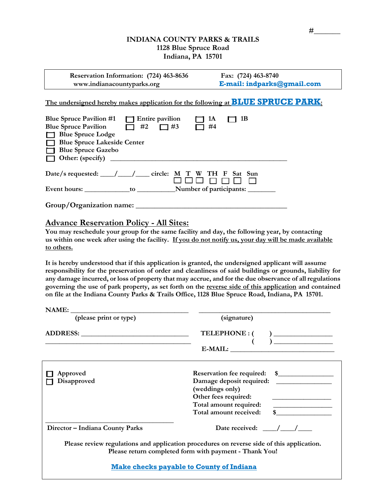## **INDIANA COUNTY PARKS & TRAILS 1128 Blue Spruce Road Indiana, PA 15701**

| Reservation Information: (724) 463-8636<br>www.indianacountyparks.org                                                                                 |                                    | Fax: (724) 463-8740<br>E-mail: indparks@gmail.com |                                                                                        |
|-------------------------------------------------------------------------------------------------------------------------------------------------------|------------------------------------|---------------------------------------------------|----------------------------------------------------------------------------------------|
|                                                                                                                                                       |                                    |                                                   | The undersigned hereby makes application for the following at <b>BLUE SPRUCE PARK:</b> |
| Blue Spruce Pavilion #1<br><b>Blue Spruce Pavilion</b><br><b>Blue Spruce Lodge</b><br><b>Blue Spruce Lakeside Center</b><br><b>Blue Spruce Gazebo</b> | $\Box$ Entire pavilion<br>#2<br>#3 | 1A<br>#4                                          | 1B                                                                                     |

| Date/s requested: $\frac{\sqrt{2}}{2}$ |    | circle: M T W TH F Sat Sun<br>888 n n n n |
|----------------------------------------|----|-------------------------------------------|
| Event hours:                           | tΩ | Number of participants:                   |

**Group/Organization name: \_\_\_\_\_\_\_\_\_\_\_\_\_\_\_\_\_\_\_\_\_\_\_\_\_\_\_\_\_\_\_\_\_\_\_\_\_\_\_\_** 

# **Advance Reservation Policy - All Sites:**

**[ ] Other: (specify) \_\_\_\_\_\_\_\_\_\_\_\_\_\_\_\_\_\_\_\_\_\_\_\_\_\_\_\_\_\_\_\_\_\_\_\_\_\_\_\_\_\_\_\_\_\_\_\_\_\_\_**

**You may reschedule your group for the same facility and day, the following year, by contacting us within one week after using the facility. If you do not notify us, your day will be made available to others.**

**It is hereby understood that if this application is granted, the undersigned applicant will assume responsibility for the preservation of order and cleanliness of said buildings or grounds, liability for any damage incurred, or loss of property that may accrue, and for the due observance of all regulations governing the use of park property, as set forth on the reverse side of this application and contained on file at the Indiana County Parks & Trails Office, 1128 Blue Spruce Road, Indiana, PA 15701.**

| NAME:                           |                                                                                                                                                                                                                                                                                                                                                                                                                                                                                                                                                                                                                                |  |  |  |
|---------------------------------|--------------------------------------------------------------------------------------------------------------------------------------------------------------------------------------------------------------------------------------------------------------------------------------------------------------------------------------------------------------------------------------------------------------------------------------------------------------------------------------------------------------------------------------------------------------------------------------------------------------------------------|--|--|--|
| (please print or type)          | (signature)                                                                                                                                                                                                                                                                                                                                                                                                                                                                                                                                                                                                                    |  |  |  |
|                                 | $\begin{tabular}{c} TELEPHONE: ( & ) \underline{\hspace{1cm}} \underline{\hspace{1cm}} \underline{\hspace{1cm}} \underline{\hspace{1cm}} \underline{\hspace{1cm}} \underline{\hspace{1cm}} \underline{\hspace{1cm}} \underline{\hspace{1cm}} \underline{\hspace{1cm}} \underline{\hspace{1cm}} \underline{\hspace{1cm}} \underline{\hspace{1cm}} \underline{\hspace{1cm}} \underline{\hspace{1cm}} \underline{\hspace{1cm}} \underline{\hspace{1cm}} \underline{\hspace{1cm}} \underline{\hspace{1cm}} \underline{\hspace{1cm}} \underline{\hspace{1cm}} \underline{\hspace{1cm}} \underline{\hspace{1cm}} \underline{\hspace$ |  |  |  |
| Approved<br>Disapproved         | (weddings only)<br>Other fees required:<br><u> 1980 - An Aonaichte ann an Aonaichte ann an t-</u><br>Total amount required:<br>Total amount received:                                                                                                                                                                                                                                                                                                                                                                                                                                                                          |  |  |  |
| Director - Indiana County Parks | Date received: $\frac{\sqrt{1-\frac{1}{2}}}{\sqrt{1-\frac{1}{2}}}$                                                                                                                                                                                                                                                                                                                                                                                                                                                                                                                                                             |  |  |  |
|                                 | Please review regulations and application procedures on reverse side of this application.<br>Please return completed form with payment - Thank You!                                                                                                                                                                                                                                                                                                                                                                                                                                                                            |  |  |  |
|                                 | <b>Make checks payable to County of Indiana</b>                                                                                                                                                                                                                                                                                                                                                                                                                                                                                                                                                                                |  |  |  |